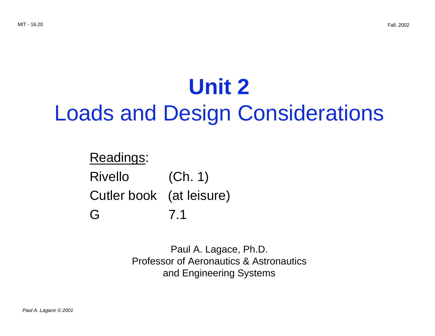# **Unit 2** Loads and Design Considerations

## Readings: Rivello **No. 10**  $(Ch. 1)$ Cutler book (at leisure) G 7.1

Paul A. Lagace, Ph.D. Professor of Aeronautics & Astronautics and Engineering Systems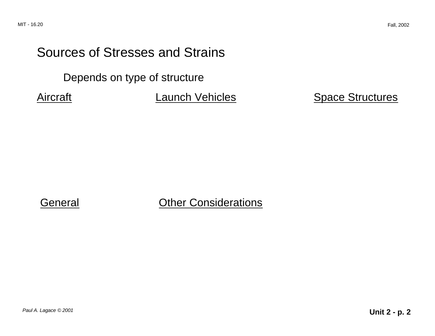# Sources of Stresses and Strains

Depends on type of structure

Aircraft **Launch Vehicles** Space Structures

#### General Other Considerations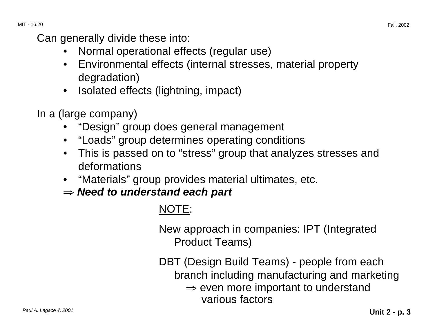Can generally divide these into:

- Normal operational effects (regular use)
- Environmental effects (internal stresses, material property degradation)
- Isolated effects (lightning, impact)
- In a (large company)
	- "Design" group does general management
	- "Loads" group determines operating conditions
	- This is passed on to "stress" group that analyzes stresses and deformations
	- "Materials" group provides material ultimates, etc.
	- <sup>⇒</sup> **Need to understand each part**

### NOTE:

New approach in companies: IPT (Integrated Product Teams)

DBT (Design Build Teams) - people from each branch including manufacturing and marketing  $\Rightarrow$  even more important to understand various factors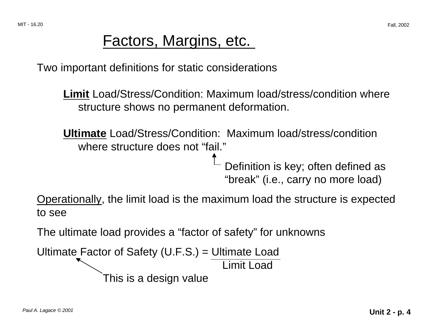# Factors, Margins, etc.

Two important definitions for static considerations

**Limit** Load/Stress/Condition: Maximum load/stress/condition where structure shows no permanent deformation.

**Ultimate** Load/Stress/Condition: Maximum load/stress/condition where structure does not "fail."

> Definition is key; often defined as "break" (i.e., carry no more load)

Operationally, the limit load is the maximum load the structure is expected to see

The ultimate load provides a "factor of safety" for unknowns

Ultimate Factor of Safety (U.F.S.) = Ultimate Load

Limit Load

This is a design value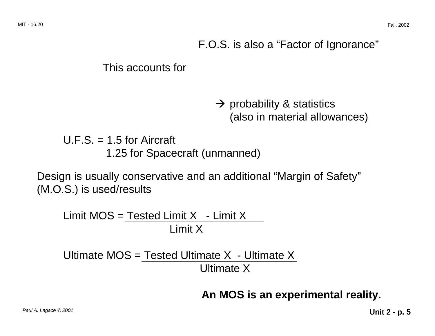#### F.O.S. is also a "Factor of Ignorance"

#### This accounts for

 $\rightarrow$  probability & statistics (also in material allowances)

U.F.S.  $=$  1.5 for Aircraft 1.25 for Spacecraft (unmanned)

Design is usually conservative and an additional "Margin of Safety" (M.O.S.) is used/results

Limit  $MOS = Tested Limit X - Limit X$ Limit X

Ultimate MOS = Tested Ultimate X  $-$  Ultimate X Ultimate X

**An MOS is an experimental reality.**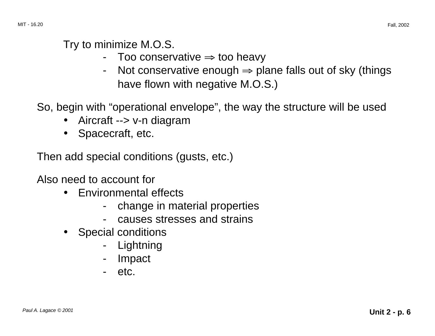#### Try to minimize M.O.S.

- Too conservative ⇒ too heavy
- -Not conservative enough  $\Rightarrow$  plane falls out of sky (things have flown with negative M.O.S.)

So, begin with "operational envelope", the way the structure will be used

- Aircraft --> v-n diagram
- Spacecraft, etc.

Then add special conditions (gusts, etc.)

Also need to account for

- Environmental effects
	- change in material properties
	- causes stresses and strains
- Special conditions
	- Lightning
	- -Impact
	- etc.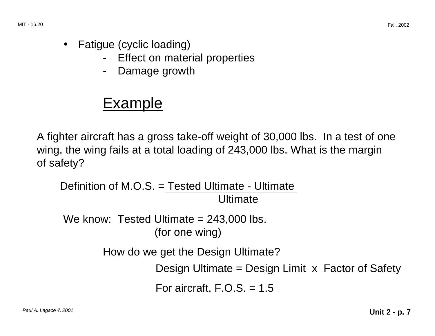- Fatigue (cyclic loading)
	- Effect on material properties
	- -Damage growth

# Example

A fighter aircraft has a gross take-off weight of 30,000 lbs. In a test of one wing, the wing fails at a total loading of 243,000 lbs. What is the margin of safety?

Definition of M.O.S. = Tested Ultimate - Ultimate Ultimate

We know: Tested Ultimate = 243,000 lbs. (for one wing)

How do we get the Design Ultimate?

Design Ultimate = Design Limit x Factor of Safety

For aircraft,  $F.O.S. = 1.5$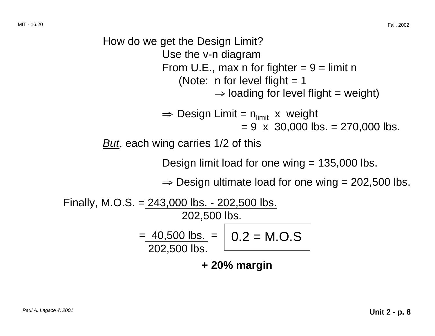How do we get the Design Limit? Use the v-n diagram From U.E., max n for fighter  $= 9 =$  limit n (Note: n for level flight  $= 1$  $\Rightarrow$  loading for level flight = weight)  $\Rightarrow$  Design Limit =  $n_{\text{limit}}$  x weight  $= 9 \times 30,000$  lbs.  $= 270,000$  lbs. But, each wing carries 1/2 of this Design limit load for one wing  $= 135,000$  lbs.  $\Rightarrow$  Design ultimate load for one wing = 202,500 lbs. Finally, M.O.S. =  $243,000$  lbs. -  $202,500$  lbs. 202,500 lbs.  $=$  40,500 lbs.  $=$  | 0.2 = M.O.S 202,500 lbs. **+ 20% margin**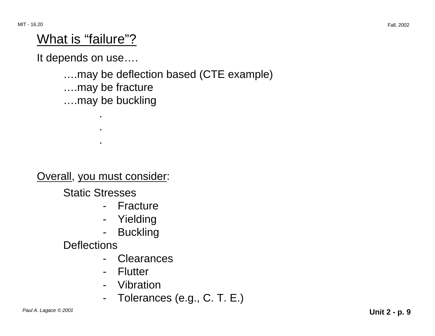# What is "failure"?

It depends on use….

….may be deflection based (CTE example) ….may be fracture ….may be buckling

Overall, you must consider:

.

.

.

Static Stresses

- Fracture
- Yielding
- -**Buckling**

**Deflections** 

- -**Clearances**
- Flutter
- Vibration
- -Tolerances (e.g., C. T. E.)